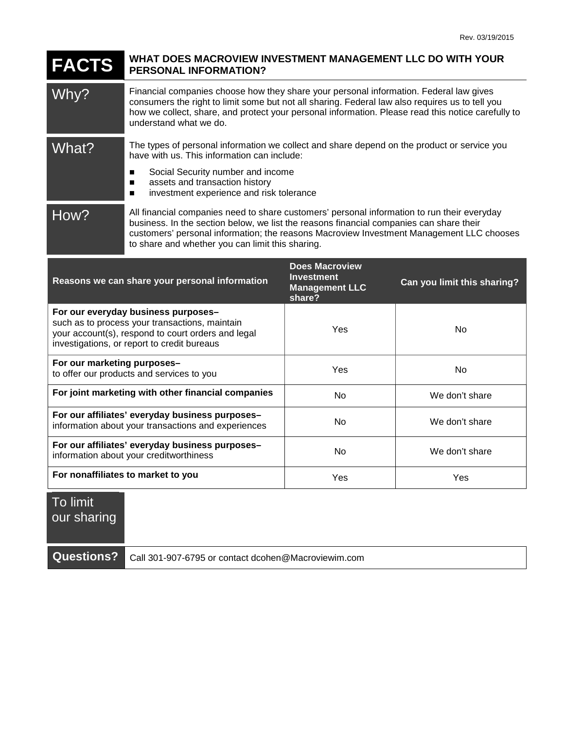## **FACTS WHAT DOES MACROVIEW INVESTMENT MANAGEMENT LLC DO WITH YOUR PERSONAL INFORMATION?**

Why? Financial companies choose how they share your personal information. Federal law gives consumers the right to limit some but not all sharing. Federal law also requires us to tell you how we collect, share, and protect your personal information. Please read this notice carefully to understand what we do.

What? The types of personal information we collect and share depend on the product or service you have with us. This information can include:

- Social Security number and income
- assets and transaction history
- **ned investment experience and risk tolerance**

How? All financial companies need to share customers' personal information to run their everyday business. In the section below, we list the reasons financial companies can share their customers' personal information; the reasons Macroview Investment Management LLC chooses to share and whether you can limit this sharing.

| Reasons we can share your personal information                                                                                                                                             | <b>Does Macroview</b><br><b>Investment</b><br><b>Management LLC</b><br>share? | Can you limit this sharing? |
|--------------------------------------------------------------------------------------------------------------------------------------------------------------------------------------------|-------------------------------------------------------------------------------|-----------------------------|
| For our everyday business purposes-<br>such as to process your transactions, maintain<br>your account(s), respond to court orders and legal<br>investigations, or report to credit bureaus | Yes                                                                           | No                          |
| For our marketing purposes-<br>to offer our products and services to you                                                                                                                   | Yes                                                                           | No                          |
| For joint marketing with other financial companies                                                                                                                                         | N <sub>o</sub>                                                                | We don't share              |
| For our affiliates' everyday business purposes-<br>information about your transactions and experiences                                                                                     | No.                                                                           | We don't share              |
| For our affiliates' everyday business purposes-<br>information about your creditworthiness                                                                                                 | N <sub>o</sub>                                                                | We don't share              |
| For nonaffiliates to market to you                                                                                                                                                         | Yes                                                                           | Yes                         |

## To limit our sharing

|  | Questions?   Call 301-907-6795 or contact dcohen@Macroviewim.com |
|--|------------------------------------------------------------------|
|--|------------------------------------------------------------------|